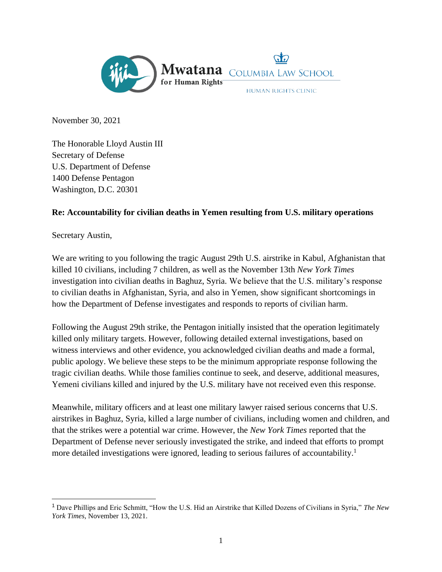

November 30, 2021

The Honorable Lloyd Austin III Secretary of Defense U.S. Department of Defense 1400 Defense Pentagon Washington, D.C. 20301

#### **Re: Accountability for civilian deaths in Yemen resulting from U.S. military operations**

Secretary Austin,

We are writing to you following the tragic August 29th U.S. airstrike in Kabul, Afghanistan that killed 10 civilians, including 7 children, as well as the November 13th *New York Times* investigation into civilian deaths in Baghuz, Syria. We believe that the U.S. military's response to civilian deaths in Afghanistan, Syria, and also in Yemen, show significant shortcomings in how the Department of Defense investigates and responds to reports of civilian harm.

Following the August 29th strike, the Pentagon initially insisted that the operation legitimately killed only military targets. However, following detailed external investigations, based on witness interviews and other evidence, you acknowledged civilian deaths and made a formal, public apology. We believe these steps to be the minimum appropriate response following the tragic civilian deaths. While those families continue to seek, and deserve, additional measures, Yemeni civilians killed and injured by the U.S. military have not received even this response.

Meanwhile, military officers and at least one military lawyer raised serious concerns that U.S. airstrikes in Baghuz, Syria, killed a large number of civilians, including women and children, and that the strikes were a potential war crime. However, the *New York Times* reported that the Department of Defense never seriously investigated the strike, and indeed that efforts to prompt more detailed investigations were ignored, leading to serious failures of accountability.<sup>1</sup>

<sup>1</sup> Dave Phillips and Eric Schmitt, "How the U.S. Hid an Airstrike that Killed Dozens of Civilians in Syria," *The New York Times,* November 13, 2021.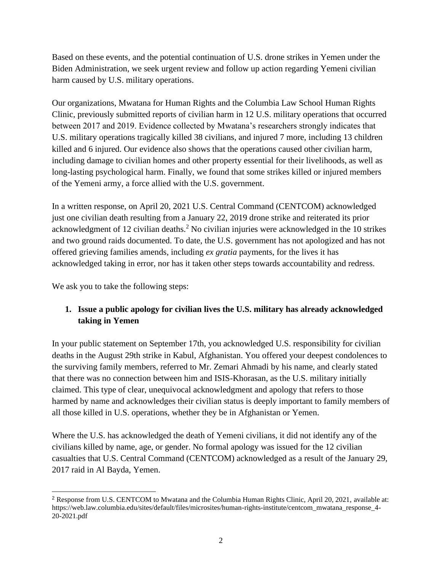Based on these events, and the potential continuation of U.S. drone strikes in Yemen under the Biden Administration, we seek urgent review and follow up action regarding Yemeni civilian harm caused by U.S. military operations.

Our organizations, Mwatana for Human Rights and the Columbia Law School Human Rights Clinic, previously submitted reports of civilian harm in 12 U.S. military operations that occurred between 2017 and 2019. Evidence collected by Mwatana's researchers strongly indicates that U.S. military operations tragically killed 38 civilians, and injured 7 more, including 13 children killed and 6 injured. Our evidence also shows that the operations caused other civilian harm, including damage to civilian homes and other property essential for their livelihoods, as well as long-lasting psychological harm. Finally, we found that some strikes killed or injured members of the Yemeni army, a force allied with the U.S. government.

In a written response, on April 20, 2021 U.S. Central Command (CENTCOM) acknowledged just one civilian death resulting from a January 22, 2019 drone strike and reiterated its prior acknowledgment of 12 civilian deaths.<sup>2</sup> No civilian injuries were acknowledged in the 10 strikes and two ground raids documented. To date, the U.S. government has not apologized and has not offered grieving families amends, including *ex gratia* payments, for the lives it has acknowledged taking in error, nor has it taken other steps towards accountability and redress.

We ask you to take the following steps:

# **1. Issue a public apology for civilian lives the U.S. military has already acknowledged taking in Yemen**

In your public statement on September 17th, you acknowledged U.S. responsibility for civilian deaths in the August 29th strike in Kabul, Afghanistan. You offered your deepest condolences to the surviving family members, referred to Mr. Zemari Ahmadi by his name, and clearly stated that there was no connection between him and ISIS-Khorasan, as the U.S. military initially claimed. This type of clear, unequivocal acknowledgment and apology that refers to those harmed by name and acknowledges their civilian status is deeply important to family members of all those killed in U.S. operations, whether they be in Afghanistan or Yemen.

Where the U.S. has acknowledged the death of Yemeni civilians, it did not identify any of the civilians killed by name, age, or gender. No formal apology was issued for the 12 civilian casualties that U.S. Central Command (CENTCOM) acknowledged as a result of the January 29, 2017 raid in Al Bayda, Yemen.

<sup>2</sup> Response from U.S. CENTCOM to Mwatana and the Columbia Human Rights Clinic, April 20, 2021, available at: https://web.law.columbia.edu/sites/default/files/microsites/human-rights-institute/centcom\_mwatana\_response\_4- 20-2021.pdf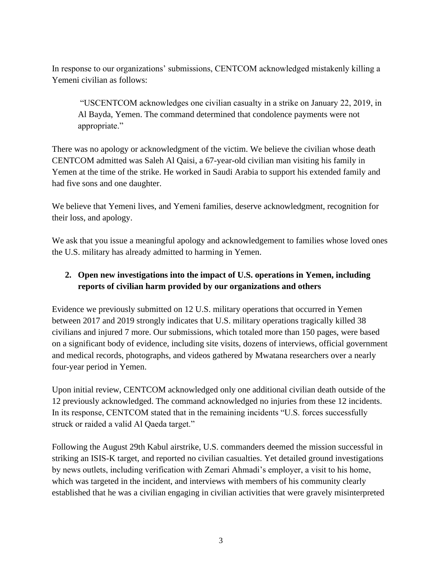In response to our organizations' submissions, CENTCOM acknowledged mistakenly killing a Yemeni civilian as follows:

"USCENTCOM acknowledges one civilian casualty in a strike on January 22, 2019, in Al Bayda, Yemen. The command determined that condolence payments were not appropriate."

There was no apology or acknowledgment of the victim. We believe the civilian whose death CENTCOM admitted was Saleh Al Qaisi, a 67-year-old civilian man visiting his family in Yemen at the time of the strike. He worked in Saudi Arabia to support his extended family and had five sons and one daughter.

We believe that Yemeni lives, and Yemeni families, deserve acknowledgment, recognition for their loss, and apology.

We ask that you issue a meaningful apology and acknowledgement to families whose loved ones the U.S. military has already admitted to harming in Yemen.

## **2. Open new investigations into the impact of U.S. operations in Yemen, including reports of civilian harm provided by our organizations and others**

Evidence we previously submitted on 12 U.S. military operations that occurred in Yemen between 2017 and 2019 strongly indicates that U.S. military operations tragically killed 38 civilians and injured 7 more. Our submissions, which totaled more than 150 pages, were based on a significant body of evidence, including site visits, dozens of interviews, official government and medical records, photographs, and videos gathered by Mwatana researchers over a nearly four-year period in Yemen.

Upon initial review, CENTCOM acknowledged only one additional civilian death outside of the 12 previously acknowledged. The command acknowledged no injuries from these 12 incidents. In its response, CENTCOM stated that in the remaining incidents "U.S. forces successfully struck or raided a valid Al Qaeda target."

Following the August 29th Kabul airstrike, U.S. commanders deemed the mission successful in striking an ISIS-K target, and reported no civilian casualties. Yet detailed ground investigations by news outlets, including verification with Zemari Ahmadi's employer, a visit to his home, which was targeted in the incident, and interviews with members of his community clearly established that he was a civilian engaging in civilian activities that were gravely misinterpreted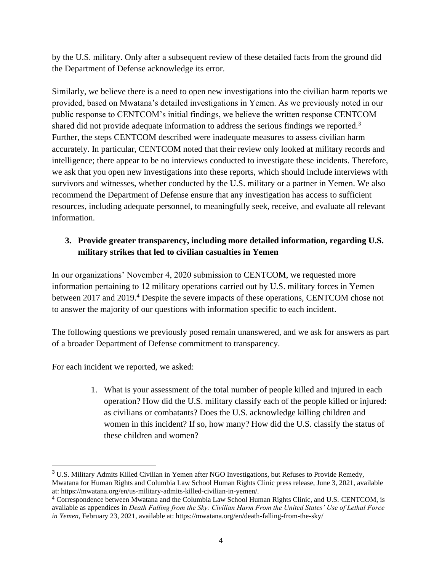by the U.S. military. Only after a subsequent review of these detailed facts from the ground did the Department of Defense acknowledge its error.

Similarly, we believe there is a need to open new investigations into the civilian harm reports we provided, based on Mwatana's detailed investigations in Yemen. As we previously noted in our public response to CENTCOM's initial findings, we believe the written response CENTCOM shared did not provide adequate information to address the serious findings we reported.<sup>3</sup> Further, the steps CENTCOM described were inadequate measures to assess civilian harm accurately. In particular, CENTCOM noted that their review only looked at military records and intelligence; there appear to be no interviews conducted to investigate these incidents. Therefore, we ask that you open new investigations into these reports, which should include interviews with survivors and witnesses, whether conducted by the U.S. military or a partner in Yemen. We also recommend the Department of Defense ensure that any investigation has access to sufficient resources, including adequate personnel, to meaningfully seek, receive, and evaluate all relevant information.

## **3. Provide greater transparency, including more detailed information, regarding U.S. military strikes that led to civilian casualties in Yemen**

In our organizations' November 4, 2020 submission to CENTCOM, we requested more information pertaining to 12 military operations carried out by U.S. military forces in Yemen between 2017 and 2019.<sup>4</sup> Despite the severe impacts of these operations, CENTCOM chose not to answer the majority of our questions with information specific to each incident.

The following questions we previously posed remain unanswered, and we ask for answers as part of a broader Department of Defense commitment to transparency.

For each incident we reported, we asked:

1. What is your assessment of the total number of people killed and injured in each operation? How did the U.S. military classify each of the people killed or injured: as civilians or combatants? Does the U.S. acknowledge killing children and women in this incident? If so, how many? How did the U.S. classify the status of these children and women?

<sup>3</sup> U.S. Military Admits Killed Civilian in Yemen after NGO Investigations, but Refuses to Provide Remedy, Mwatana for Human Rights and Columbia Law School Human Rights Clinic press release, June 3, 2021, available at: https://mwatana.org/en/us-military-admits-killed-civilian-in-yemen/.

<sup>4</sup> Correspondence between Mwatana and the Columbia Law School Human Rights Clinic, and U.S. CENTCOM, is available as appendices in *Death Falling from the Sky: Civilian Harm From the United States' Use of Lethal Force in Yemen*, February 23, 2021, available at: https://mwatana.org/en/death-falling-from-the-sky/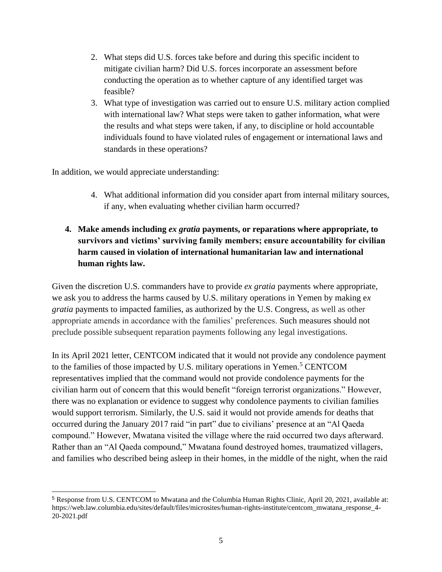- 2. What steps did U.S. forces take before and during this specific incident to mitigate civilian harm? Did U.S. forces incorporate an assessment before conducting the operation as to whether capture of any identified target was feasible?
- 3. What type of investigation was carried out to ensure U.S. military action complied with international law? What steps were taken to gather information, what were the results and what steps were taken, if any, to discipline or hold accountable individuals found to have violated rules of engagement or international laws and standards in these operations?

In addition, we would appreciate understanding:

- 4. What additional information did you consider apart from internal military sources, if any, when evaluating whether civilian harm occurred?
- **4. Make amends including** *ex gratia* **payments, or reparations where appropriate, to survivors and victims' surviving family members; ensure accountability for civilian harm caused in violation of international humanitarian law and international human rights law.**

Given the discretion U.S. commanders have to provide *ex gratia* payments where appropriate, we ask you to address the harms caused by U.S. military operations in Yemen by making e*x gratia* payments to impacted families, as authorized by the U.S. Congress, as well as other appropriate amends in accordance with the families' preferences. Such measures should not preclude possible subsequent reparation payments following any legal investigations.

In its April 2021 letter, CENTCOM indicated that it would not provide any condolence payment to the families of those impacted by U.S. military operations in Yemen.<sup>5</sup> CENTCOM representatives implied that the command would not provide condolence payments for the civilian harm out of concern that this would benefit "foreign terrorist organizations." However, there was no explanation or evidence to suggest why condolence payments to civilian families would support terrorism. Similarly, the U.S. said it would not provide amends for deaths that occurred during the January 2017 raid "in part" due to civilians' presence at an "Al Qaeda compound." However, Mwatana visited the village where the raid occurred two days afterward. Rather than an "Al Qaeda compound," Mwatana found destroyed homes, traumatized villagers, and families who described being asleep in their homes, in the middle of the night, when the raid

<sup>5</sup> Response from U.S. CENTCOM to Mwatana and the Columbia Human Rights Clinic, April 20, 2021, available at: https://web.law.columbia.edu/sites/default/files/microsites/human-rights-institute/centcom\_mwatana\_response\_4- 20-2021.pdf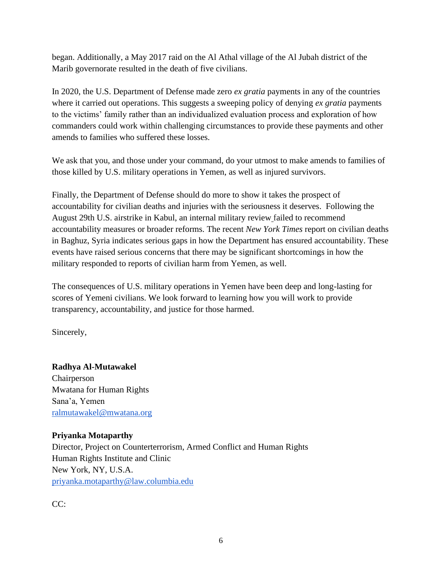began. Additionally, a May 2017 raid on the Al Athal village of the Al Jubah district of the Marib governorate resulted in the death of five civilians.

In 2020, the U.S. Department of Defense made zero *ex gratia* payments in any of the countries where it carried out operations. This suggests a sweeping policy of denying *ex gratia* payments to the victims' family rather than an individualized evaluation process and exploration of how commanders could work within challenging circumstances to provide these payments and other amends to families who suffered these losses.

We ask that you, and those under your command, do your utmost to make amends to families of those killed by U.S. military operations in Yemen, as well as injured survivors.

Finally, the Department of Defense should do more to show it takes the prospect of accountability for civilian deaths and injuries with the seriousness it deserves. Following the August 29th U.S. airstrike in Kabul, an internal military review failed to recommend accountability measures or broader reforms. The recent *New York Times* report on civilian deaths in Baghuz, Syria indicates serious gaps in how the Department has ensured accountability. These events have raised serious concerns that there may be significant shortcomings in how the military responded to reports of civilian harm from Yemen, as well.

The consequences of U.S. military operations in Yemen have been deep and long-lasting for scores of Yemeni civilians. We look forward to learning how you will work to provide transparency, accountability, and justice for those harmed.

Sincerely,

# **Radhya Al-Mutawakel**

Chairperson Mwatana for Human Rights Sana'a, Yemen [ralmutawakel@mwatana.org](mailto:ralmutawakel@mwatana.org)

#### **Priyanka Motaparthy**

Director, Project on Counterterrorism, Armed Conflict and Human Rights Human Rights Institute and Clinic New York, NY, U.S.A. [priyanka.motaparthy@law.columbia.edu](mailto:priyanka.motaparthy@law.columbia.edu)

CC: